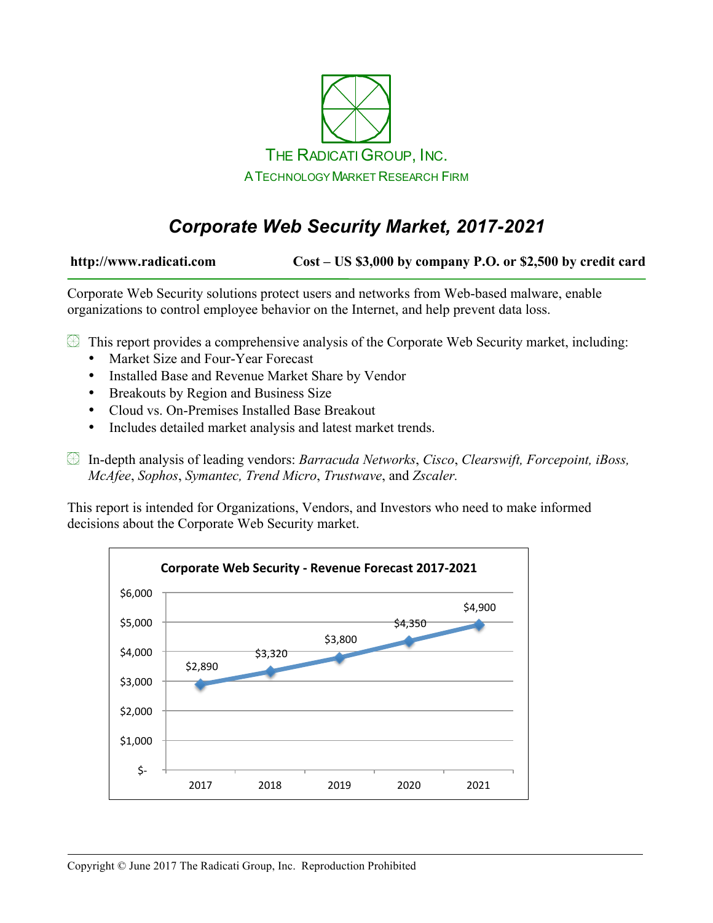

# *Corporate Web Security Market, 2017-2021*

**http://www.radicati.com Cost – US \$3,000 by company P.O. or \$2,500 by credit card**

Corporate Web Security solutions protect users and networks from Web-based malware, enable organizations to control employee behavior on the Internet, and help prevent data loss.

- $\boxplus$  This report provides a comprehensive analysis of the Corporate Web Security market, including:
	- Market Size and Four-Year Forecast
	- Installed Base and Revenue Market Share by Vendor
	- Breakouts by Region and Business Size
	- Cloud vs. On-Premises Installed Base Breakout
	- Includes detailed market analysis and latest market trends.
- In-depth analysis of leading vendors: *Barracuda Networks*, *Cisco*, *Clearswift, Forcepoint, iBoss, McAfee*, *Sophos*, *Symantec, Trend Micro*, *Trustwave*, and *Zscaler.*

This report is intended for Organizations, Vendors, and Investors who need to make informed decisions about the Corporate Web Security market.

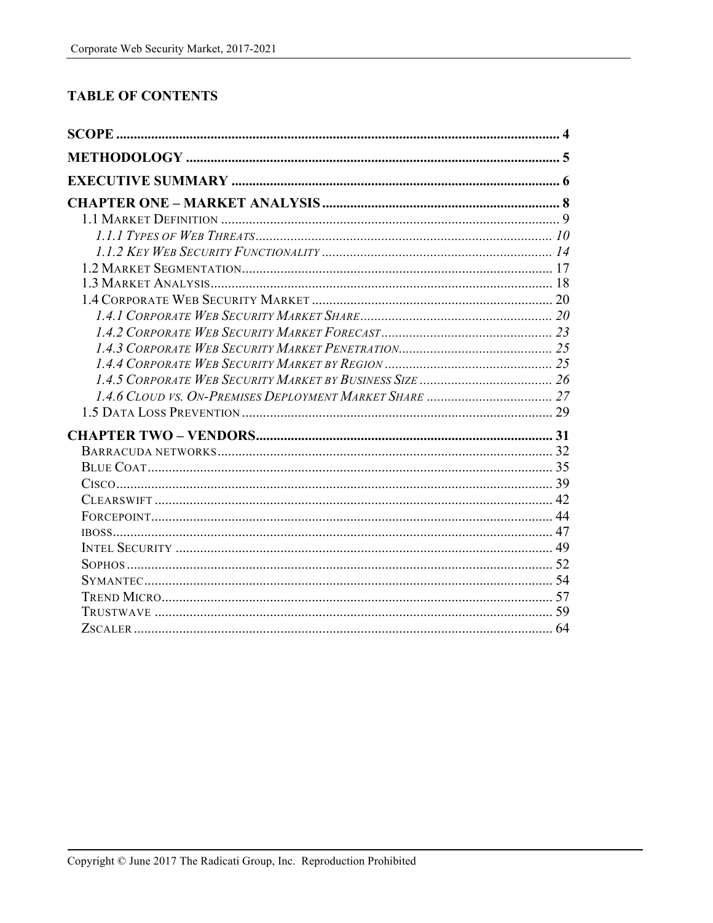### **TABLE OF CONTENTS**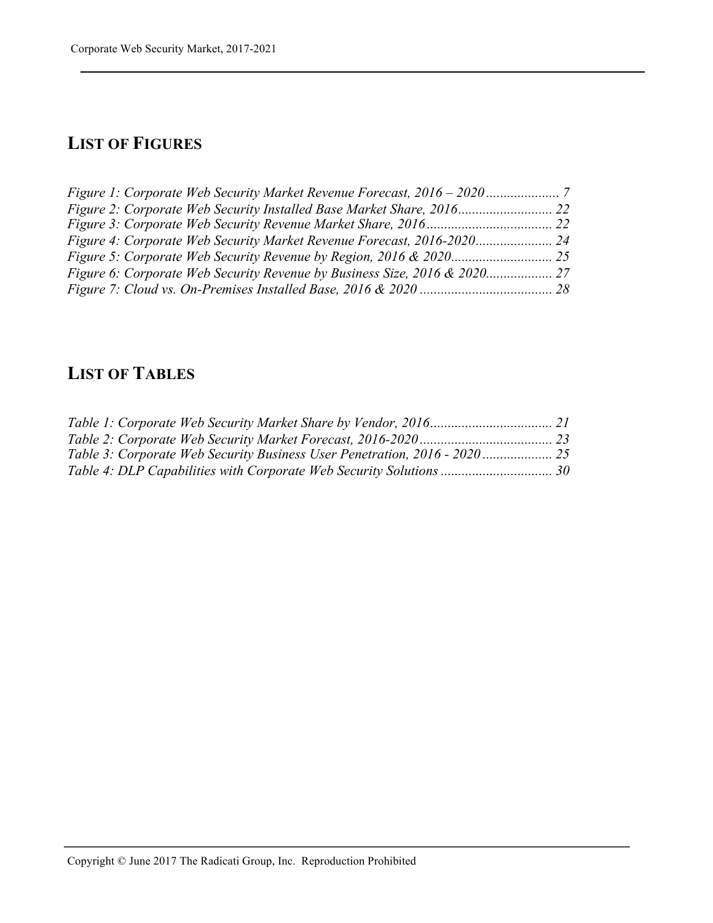## **LIST OF FIGURES**

| <i>Figure 6: Corporate Web Security Revenue by Business Size, 2016 &amp; 2020</i> 27 |  |
|--------------------------------------------------------------------------------------|--|
|                                                                                      |  |

### **LIST OF TABLES**

| Table 3: Corporate Web Security Business User Penetration, 2016 - 2020 |  |
|------------------------------------------------------------------------|--|
|                                                                        |  |